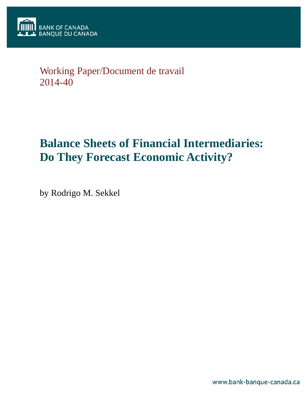

## Working Paper/Document de travail 2014-40

# **Balance Sheets of Financial Intermediaries: Do They Forecast Economic Activity?**

by Rodrigo M. Sekkel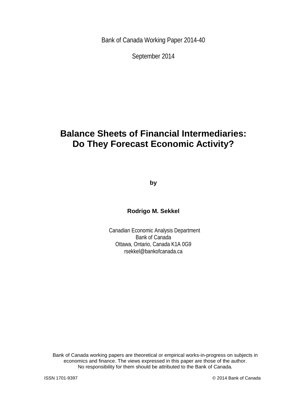Bank of Canada Working Paper 2014-40

September 2014

## **Balance Sheets of Financial Intermediaries: Do They Forecast Economic Activity?**

**by**

**Rodrigo M. Sekkel**

Canadian Economic Analysis Department Bank of Canada Ottawa, Ontario, Canada K1A 0G9 rsekkel@bankofcanada.ca

Bank of Canada working papers are theoretical or empirical works-in-progress on subjects in economics and finance. The views expressed in this paper are those of the author. No responsibility for them should be attributed to the Bank of Canada.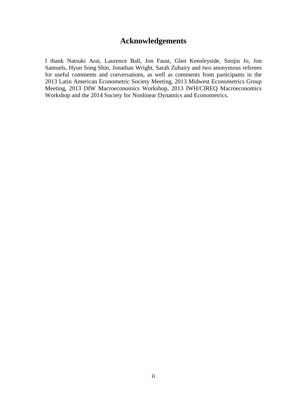## **Acknowledgements**

I thank Natsuki Arai, Laurence Ball, Jon Faust, Glen Keenleyside, Soojin Jo, Jon Samuels, Hyun Song Shin, Jonathan Wright, Sarah Zubairy and two anonymous referees for useful comments and conversations, as well as comments from participants in the 2013 Latin American Econometric Society Meeting, 2013 Midwest Econometrics Group Meeting, 2013 DIW Macroeconomics Workshop, 2013 IWH/CIREQ Macroeconomics Workshop and the 2014 Society for Nonlinear Dynamics and Econometrics.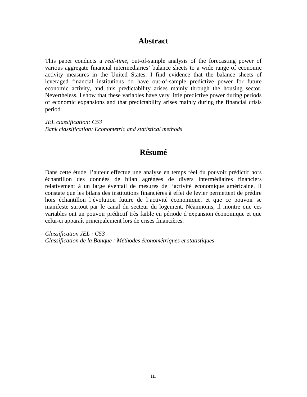### **Abstract**

This paper conducts a *real-time*, out-of-sample analysis of the forecasting power of various aggregate financial intermediaries' balance sheets to a wide range of economic activity measures in the United States. I find evidence that the balance sheets of leveraged financial institutions do have out-of-sample predictive power for future economic activity, and this predictability arises mainly through the housing sector. Nevertheless, I show that these variables have very little predictive power during periods of economic expansions and that predictability arises mainly during the financial crisis period.

*JEL classification: C53 Bank classification: Econometric and statistical methods*

## **Résumé**

Dans cette étude, l'auteur effectue une analyse en temps réel du pouvoir prédictif hors échantillon des données de bilan agrégées de divers intermédiaires financiers relativement à un large éventail de mesures de l'activité économique américaine. Il constate que les bilans des institutions financières à effet de levier permettent de prédire hors échantillon l'évolution future de l'activité économique, et que ce pouvoir se manifeste surtout par le canal du secteur du logement. Néanmoins, il montre que ces variables ont un pouvoir prédictif très faible en période d'expansion économique et que celui-ci apparaît principalement lors de crises financières.

*Classification JEL : C53 Classification de la Banque : Méthodes économétriques et statistiques*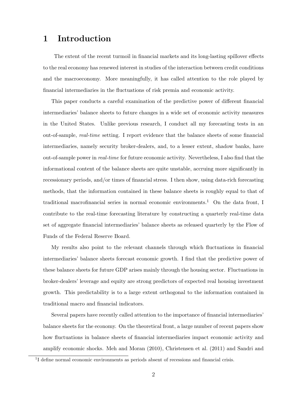### 1 Introduction

The extent of the recent turmoil in financial markets and its long-lasting spillover effects to the real economy has renewed interest in studies of the interaction between credit conditions and the macroeconomy. More meaningfully, it has called attention to the role played by financial intermediaries in the fluctuations of risk premia and economic activity.

This paper conducts a careful examination of the predictive power of different financial intermediaries' balance sheets to future changes in a wide set of economic activity measures in the United States. Unlike previous research, I conduct all my forecasting tests in an out-of-sample, real-time setting. I report evidence that the balance sheets of some financial intermediaries, namely security broker-dealers, and, to a lesser extent, shadow banks, have out-of-sample power in real-time for future economic activity. Nevertheless, I also find that the informational content of the balance sheets are quite unstable, accruing more significantly in recessionary periods, and/or times of financial stress. I then show, using data-rich forecasting methods, that the information contained in these balance sheets is roughly equal to that of traditional macrofinancial series in normal economic environments.<sup>1</sup> On the data front, I contribute to the real-time forecasting literature by constructing a quarterly real-time data set of aggregate financial intermediaries' balance sheets as released quarterly by the Flow of Funds of the Federal Reserve Board.

My results also point to the relevant channels through which fluctuations in financial intermediaries' balance sheets forecast economic growth. I find that the predictive power of these balance sheets for future GDP arises mainly through the housing sector. Fluctuations in broker-dealers' leverage and equity are strong predictors of expected real housing investment growth. This predictability is to a large extent orthogonal to the information contained in traditional macro and financial indicators.

Several papers have recently called attention to the importance of financial intermediaries' balance sheets for the economy. On the theoretical front, a large number of recent papers show how fluctuations in balance sheets of financial intermediaries impact economic activity and amplify economic shocks. Meh and Moran (2010), Christensen et al. (2011) and Sandri and

<sup>&</sup>lt;sup>1</sup>I define normal economic environments as periods absent of recessions and financial crisis.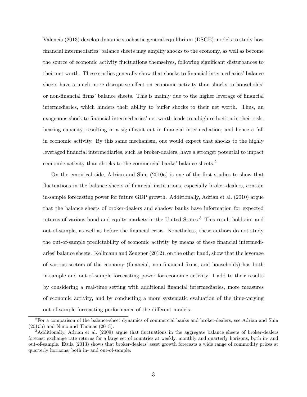Valencia (2013) develop dynamic stochastic general-equilibrium (DSGE) models to study how financial intermediaries' balance sheets may amplify shocks to the economy, as well as become the source of economic activity fluctuations themselves, following significant disturbances to their net worth. These studies generally show that shocks to financial intermediaries' balance sheets have a much more disruptive effect on economic activity than shocks to households' or non-financial firms' balance sheets. This is mainly due to the higher leverage of financial intermediaries, which hinders their ability to buffer shocks to their net worth. Thus, an exogenous shock to financial intermediaries' net worth leads to a high reduction in their riskbearing capacity, resulting in a significant cut in financial intermediation, and hence a fall in economic activity. By this same mechanism, one would expect that shocks to the highly leveraged financial intermediaries, such as broker-dealers, have a stronger potential to impact economic activity than shocks to the commercial banks' balance sheets.<sup>2</sup>

On the empirical side, Adrian and Shin (2010a) is one of the first studies to show that fluctuations in the balance sheets of financial institutions, especially broker-dealers, contain in-sample forecasting power for future GDP growth. Additionally, Adrian et al. (2010) argue that the balance sheets of broker-dealers and shadow banks have information for expected returns of various bond and equity markets in the United States.<sup>3</sup> This result holds in- and out-of-sample, as well as before the financial crisis. Nonetheless, these authors do not study the out-of-sample predictability of economic activity by means of these financial intermediaries' balance sheets. Kollmann and Zeugner (2012), on the other hand, show that the leverage of various sectors of the economy (financial, non-financial firms, and households) has both in-sample and out-of-sample forecasting power for economic activity. I add to their results by considering a real-time setting with additional financial intermediaries, more measures of economic activity, and by conducting a more systematic evaluation of the time-varying out-of-sample forecasting performance of the different models.

<sup>2</sup>For a comparison of the balance-sheet dynamics of commercial banks and broker-dealers, see Adrian and Shin  $(2010b)$  and Nuño and Thomas  $(2013)$ .

<sup>3</sup>Additionally, Adrian et al. (2009) argue that fluctuations in the aggregate balance sheets of broker-dealers forecast exchange rate returns for a large set of countries at weekly, monthly and quarterly horizons, both in- and out-of-sample. Etula (2013) shows that broker-dealers' asset growth forecasts a wide range of commodity prices at quarterly horizons, both in- and out-of-sample.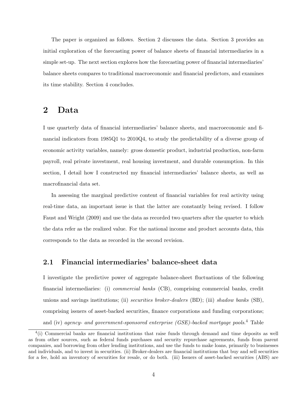The paper is organized as follows. Section 2 discusses the data. Section 3 provides an initial exploration of the forecasting power of balance sheets of financial intermediaries in a simple set-up. The next section explores how the forecasting power of financial intermediaries' balance sheets compares to traditional macroeconomic and financial predictors, and examines its time stability. Section 4 concludes.

## 2 Data

I use quarterly data of financial intermediaries' balance sheets, and macroeconomic and financial indicators from 1985Q1 to 2010Q4, to study the predictability of a diverse group of economic activity variables, namely: gross domestic product, industrial production, non-farm payroll, real private investment, real housing investment, and durable consumption. In this section, I detail how I constructed my financial intermediaries' balance sheets, as well as macrofinancial data set.

In assessing the marginal predictive content of financial variables for real activity using real-time data, an important issue is that the latter are constantly being revised. I follow Faust and Wright (2009) and use the data as recorded two quarters after the quarter to which the data refer as the realized value. For the national income and product accounts data, this corresponds to the data as recorded in the second revision.

#### 2.1 Financial intermediaries' balance-sheet data

I investigate the predictive power of aggregate balance-sheet fluctuations of the following financial intermediaries: (i) commercial banks (CB), comprising commercial banks, credit unions and savings institutions; (ii) securities broker-dealers  $(BD)$ ; (iii) shadow banks  $(SB)$ , comprising issuers of asset-backed securities, finance corporations and funding corporations; and (iv) agency- and government-sponsored enterprise (GSE)-backed mortgage pools.<sup>4</sup> Table

 $<sup>4</sup>(i)$  Commercial banks are financial institutions that raise funds through demand and time deposits as well</sup> as from other sources, such as federal funds purchases and security repurchase agreements, funds from parent companies, and borrowing from other lending institutions, and use the funds to make loans, primarily to businesses and individuals, and to invest in securities. (ii) Broker-dealers are financial institutions that buy and sell securities for a fee, hold an inventory of securities for resale, or do both. (iii) Issuers of asset-backed securities (ABS) are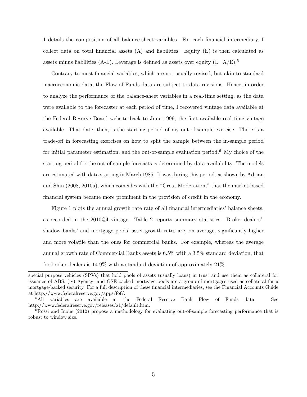1 details the composition of all balance-sheet variables. For each financial intermediary, I collect data on total financial assets  $(A)$  and liabilities. Equity  $(E)$  is then calculated as assets minus liabilities (A-L). Leverage is defined as assets over equity  $(L=A/E)^5$ .

Contrary to most financial variables, which are not usually revised, but akin to standard macroeconomic data, the Flow of Funds data are subject to data revisions. Hence, in order to analyze the performance of the balance-sheet variables in a real-time setting, as the data were available to the forecaster at each period of time, I recovered vintage data available at the Federal Reserve Board website back to June 1999, the first available real-time vintage available. That date, then, is the starting period of my out-of-sample exercise. There is a trade-off in forecasting exercises on how to split the sample between the in-sample period for initial parameter estimation, and the out-of-sample evaluation period.<sup>6</sup> My choice of the starting period for the out-of-sample forecasts is determined by data availability. The models are estimated with data starting in March 1985. It was during this period, as shown by Adrian and Shin (2008, 2010a), which coincides with the "Great Moderation," that the market-based financial system became more prominent in the provision of credit in the economy.

Figure 1 plots the annual growth rate rate of all financial intermediaries' balance sheets, as recorded in the 2010Q4 vintage. Table 2 reports summary statistics. Broker-dealers', shadow banks' and mortgage pools' asset growth rates are, on average, significantly higher and more volatile than the ones for commercial banks. For example, whereas the average annual growth rate of Commercial Banks assets is 6.5% with a 3.5% standard deviation, that for broker-dealers is 14.9% with a standard deviation of approximately 21%.

special purpose vehicles (SPVs) that hold pools of assets (usually loans) in trust and use them as collateral for issuance of ABS. (iv) Agency- and GSE-backed mortgage pools are a group of mortgages used as collateral for a mortgage-backed security. For a full description of these financial intermediaries, see the Financial Accounts Guide at http://www.federalreserve.gov/apps/fof/.

<sup>&</sup>lt;sup>5</sup>All variables are available at the Federal Reserve Bank Flow of Funds data. See http://www.federalreserve.gov/releases/z1/default.htm.

<sup>&</sup>lt;sup>6</sup>Rossi and Inoue (2012) propose a methodology for evaluating out-of-sample forecasting performance that is robust to window size.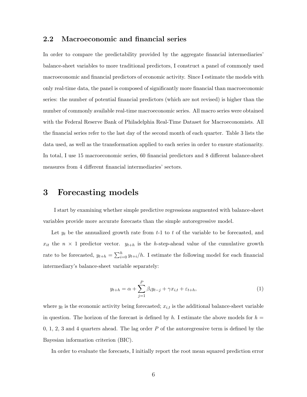#### 2.2 Macroeconomic and financial series

In order to compare the predictability provided by the aggregate financial intermediaries' balance-sheet variables to more traditional predictors, I construct a panel of commonly used macroeconomic and financial predictors of economic activity. Since I estimate the models with only real-time data, the panel is composed of significantly more financial than macroeconomic series: the number of potential financial predictors (which are not revised) is higher than the number of commonly available real-time macroeconomic series. All macro series were obtained with the Federal Reserve Bank of Philadelphia Real-Time Dataset for Macroeconomists. All the financial series refer to the last day of the second month of each quarter. Table 3 lists the data used, as well as the transformation applied to each series in order to ensure stationarity. In total, I use 15 macroeconomic series, 60 financial predictors and 8 different balance-sheet measures from 4 different financial intermediaries' sectors.

## 3 Forecasting models

I start by examining whether simple predictive regressions augmented with balance-sheet variables provide more accurate forecasts than the simple autoregressive model.

Let  $y_t$  be the annualized growth rate from  $t-1$  to  $t$  of the variable to be forecasted, and  $x_{it}$  the  $n \times 1$  predictor vector.  $y_{t+h}$  is the h-step-ahead value of the cumulative growth rate to be forecasted,  $y_{t+h} = \sum_{i=0}^{h} y_{t+i}/h$ . I estimate the following model for each financial intermediary's balance-sheet variable separately:

$$
y_{t+h} = \alpha + \sum_{j=1}^{P} \beta_i y_{t-j} + \gamma x_{i,t} + \varepsilon_{t+h},
$$
\n(1)

where  $y_t$  is the economic activity being forecasted;  $x_{i,t}$  is the additional balance-sheet variable in question. The horizon of the forecast is defined by h. I estimate the above models for  $h =$  $0, 1, 2, 3$  and 4 quarters ahead. The lag order P of the autoregressive term is defined by the Bayesian information criterion (BIC).

In order to evaluate the forecasts, I initially report the root mean squared prediction error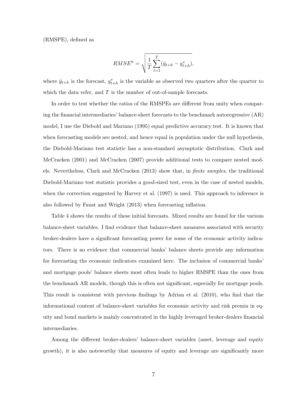(RMSPE), defined as

$$
RMSE^{h} = \sqrt{\frac{1}{T} \sum_{t=1}^{T} (\hat{y}_{t+h} - y_{t+h}^{*})},
$$

where  $\hat{y}_{t+h}$  is the forecast,  $y_{t+h}^*$  is the variable as observed two quarters after the quarter to which the data refer, and  $T$  is the number of out-of-sample forecasts.

In order to test whether the ratios of the RMSPEs are different from unity when comparing the financial intermediaries' balance-sheet forecasts to the benchmark autoregressive (AR) model, I use the Diebold and Mariano (1995) equal predictive accuracy test. It is known that when forecasting models are nested, and hence equal in population under the null hypothesis, the Diebold-Mariano test statistic has a non-standard asymptotic distribution. Clark and McCracken (2001) and McCracken (2007) provide additional tests to compare nested models. Nevertheless, Clark and McCracken (2013) show that, in finite samples, the traditional Diebold-Mariano test statistic provides a good-sized test, even in the case of nested models, when the correction suggested by Harvey et al. (1997) is used. This approach to inference is also followed by Faust and Wright (2013) when forecasting inflation.

Table 4 shows the results of these initial forecasts. Mixed results are found for the various balance-sheet variables. I find evidence that balance-sheet measures associated with security broker-dealers have a significant forecasting power for some of the economic activity indicators. There is no evidence that commercial banks' balance sheets provide any information for forecasting the economic indicators examined here. The inclusion of commercial banks' and mortgage pools' balance sheets most often leads to higher RMSPE than the ones from the benchmark AR models, though this is often not significant, especially for mortgage pools. This result is consistent with previous findings by Adrian et al. (2010), who find that the informational content of balance-sheet variables for economic activity and risk premia in equity and bond markets is mainly concentrated in the highly leveraged broker-dealers financial intermediaries.

Among the different broker-dealers' balance-sheet variables (asset, leverage and equity growth), it is also noteworthy that measures of equity and leverage are significantly more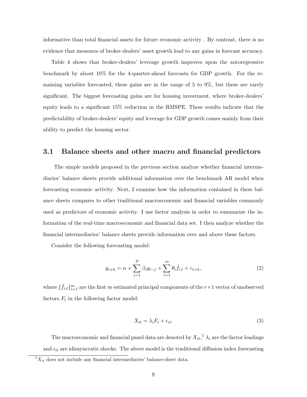informative than total financial assets for future economic activity . By contrast, there is no evidence that measures of broker-dealers' asset growth lead to any gains in forecast accuracy.

Table 4 shows that broker-dealers' leverage growth improves upon the autoregressive benchmark by about 10% for the 4-quarter-ahead forecasts for GDP growth. For the remaining variables forecasted, these gains are in the range of 5 to 9%, but these are rarely significant. The biggest forecasting gains are for housing investment, where broker-dealers' equity leads to a significant 15% reduction in the RMSPE. These results indicate that the predictability of broker-dealers' equity and leverage for GDP growth comes mainly from their ability to predict the housing sector.

#### 3.1 Balance sheets and other macro and financial predictors

The simple models proposed in the previous section analyze whether financial intermediaries' balance sheets provide additional information over the benchmark AR model when forecasting economic activity. Next, I examine how the information contained in these balance sheets compares to other traditional macroeconomic and financial variables commonly used as predictors of economic activity. I use factor analysis in order to summarize the information of the real-time macroeconomic and financial data set. I then analyze whether the financial intermediaries' balance sheets provide information over and above these factors.

Consider the following forecasting model:

$$
y_{t+h} = \alpha + \sum_{j=1}^{P} \beta_i y_{t-j} + \sum_{i=1}^{m} \theta_i \hat{f}_{i,t} + \varepsilon_{t+h},
$$
\n(2)

where  $\{\hat{f}_{i,t}\}_{i=1}^m$  are the first m estimated principal components of the  $r\times 1$  vector of unobserved factors  $F_t$  in the following factor model:

$$
X_{it} = \lambda_i F_t + \epsilon_{it}.\tag{3}
$$

The macroeconomic and financial panel data are denoted by  $X_{it}$ ,<sup>7</sup>  $\lambda_i$  are the factor loadings and  $\epsilon_{it}$  are idiosyncratic shocks. The above model is the traditional diffusion index forecasting

 ${}^{7}X_{it}$  does not include any financial intermediaries' balance-sheet data.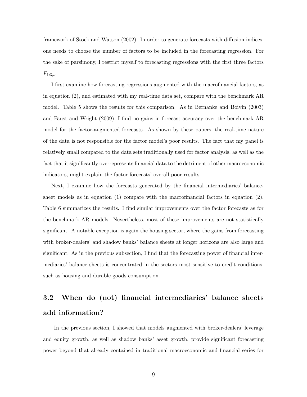framework of Stock and Watson (2002). In order to generate forecasts with diffusion indices, one needs to choose the number of factors to be included in the forecasting regression. For the sake of parsimony, I restrict myself to forecasting regressions with the first three factors  $F_{1:3,t}.$ 

I first examine how forecasting regressions augmented with the macrofinancial factors, as in equation (2), and estimated with my real-time data set, compare with the benchmark AR model. Table 5 shows the results for this comparison. As in Bernanke and Boivin (2003) and Faust and Wright (2009), I find no gains in forecast accuracy over the benchmark AR model for the factor-augmented forecasts. As shown by these papers, the real-time nature of the data is not responsible for the factor model's poor results. The fact that my panel is relatively small compared to the data sets traditionally used for factor analysis, as well as the fact that it significantly overrepresents financial data to the detriment of other macroeconomic indicators, might explain the factor forecasts' overall poor results.

Next, I examine how the forecasts generated by the financial intermediaries' balancesheet models as in equation  $(1)$  compare with the macrofinancial factors in equation  $(2)$ . Table 6 summarizes the results. I find similar improvements over the factor forecasts as for the benchmark AR models. Nevertheless, most of these improvements are not statistically significant. A notable exception is again the housing sector, where the gains from forecasting with broker-dealers' and shadow banks' balance sheets at longer horizons are also large and significant. As in the previous subsection, I find that the forecasting power of financial intermediaries' balance sheets is concentrated in the sectors most sensitive to credit conditions, such as housing and durable goods consumption.

## 3.2 When do (not) financial intermediaries' balance sheets add information?

In the previous section, I showed that models augmented with broker-dealers' leverage and equity growth, as well as shadow banks' asset growth, provide significant forecasting power beyond that already contained in traditional macroeconomic and financial series for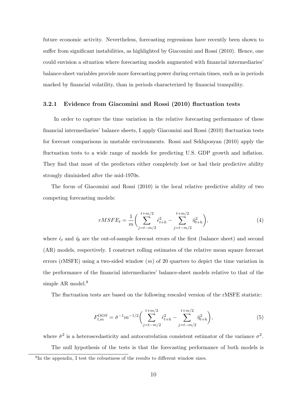future economic activity. Nevertheless, forecasting regressions have recently been shown to suffer from significant instabilities, as highlighted by Giacomini and Rossi (2010). Hence, one could envision a situation where forecasting models augmented with financial intermediaries' balance-sheet variables provide more forecasting power during certain times, such as in periods marked by financial volatility, than in periods characterized by financial tranquility.

#### 3.2.1 Evidence from Giacomini and Rossi (2010) fluctuation tests

In order to capture the time variation in the relative forecasting performance of these financial intermediaries' balance sheets, I apply Giacomini and Rossi (2010) fluctuation tests for forecast comparisons in unstable environments. Rossi and Sekhposyan (2010) apply the fluctuation tests to a wide range of models for predicting U.S. GDP growth and inflation. They find that most of the predictors either completely lost or had their predictive ability strongly diminished after the mid-1970s.

The focus of Giacomini and Rossi (2010) is the local relative predictive ability of two competing forecasting models:

$$
rMSFE_t = \frac{1}{m} \bigg( \sum_{j=t-m/2}^{t+m/2} \hat{\epsilon}_{t+h}^2 - \sum_{j=t-m/2}^{t+m/2} \hat{\eta}_{t+h}^2 \bigg),\tag{4}
$$

where  $\hat{\epsilon}_t$  and  $\hat{\eta}_t$  are the out-of-sample forecast errors of the first (balance sheet) and second (AR) models, respectively. I construct rolling estimates of the relative mean square forecast errors (rMSFE) using a two-sided window  $(m)$  of 20 quarters to depict the time variation in the performance of the financial intermediaries' balance-sheet models relative to that of the simple AR model.<sup>8</sup>

The fluctuation tests are based on the following rescaled version of the rMSFE statistic:

$$
F_{t,m}^{OOS} = \hat{\sigma}^{-1} m^{-1/2} \bigg( \sum_{j=t-m/2}^{t+m/2} \hat{\epsilon}_{t+h}^2 - \sum_{j=t-m/2}^{t+m/2} \hat{\eta}_{t+h}^2 \bigg),\tag{5}
$$

where  $\hat{\sigma}^2$  is a heteroscedasticity and autocorrelation consistent estimator of the variance  $\sigma^2$ . The null hypothesis of the tests is that the forecasting performance of both models is 8 In the appendix, I test the robustness of the results to different window sizes.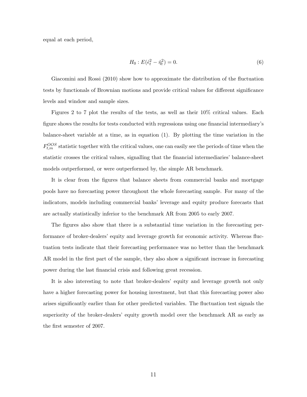equal at each period,

$$
H_0: E(\hat{\epsilon}_t^2 - \hat{\eta}_t^2) = 0.
$$
 (6)

Giacomini and Rossi (2010) show how to approximate the distribution of the fluctuation tests by functionals of Brownian motions and provide critical values for different significance levels and window and sample sizes.

Figures 2 to 7 plot the results of the tests, as well as their 10% critical values. Each figure shows the results for tests conducted with regressions using one financial intermediary's balance-sheet variable at a time, as in equation (1). By plotting the time variation in the  $F_{t,m}^{OOS}$  statistic together with the critical values, one can easily see the periods of time when the statistic crosses the critical values, signalling that the financial intermediaries' balance-sheet models outperformed, or were outperformed by, the simple AR benchmark.

It is clear from the figures that balance sheets from commercial banks and mortgage pools have no forecasting power throughout the whole forecasting sample. For many of the indicators, models including commercial banks' leverage and equity produce forecasts that are actually statistically inferior to the benchmark AR from 2005 to early 2007.

The figures also show that there is a substantial time variation in the forecasting performance of broker-dealers' equity and leverage growth for economic activity. Whereas fluctuation tests indicate that their forecasting performance was no better than the benchmark AR model in the first part of the sample, they also show a significant increase in forecasting power during the last financial crisis and following great recession.

It is also interesting to note that broker-dealers' equity and leverage growth not only have a higher forecasting power for housing investment, but that this forecasting power also arises significantly earlier than for other predicted variables. The fluctuation test signals the superiority of the broker-dealers' equity growth model over the benchmark AR as early as the first semester of 2007.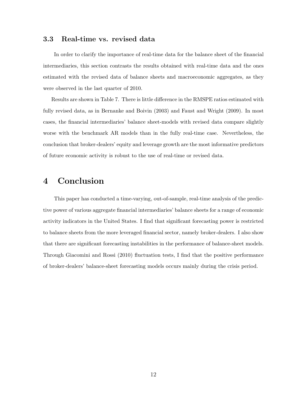#### 3.3 Real-time vs. revised data

In order to clarify the importance of real-time data for the balance sheet of the financial intermediaries, this section contrasts the results obtained with real-time data and the ones estimated with the revised data of balance sheets and macroeconomic aggregates, as they were observed in the last quarter of 2010.

Results are shown in Table 7. There is little difference in the RMSPE ratios estimated with fully revised data, as in Bernanke and Boivin (2003) and Faust and Wright (2009). In most cases, the financial intermediaries' balance sheet-models with revised data compare slightly worse with the benchmark AR models than in the fully real-time case. Nevertheless, the conclusion that broker-dealers' equity and leverage growth are the most informative predictors of future economic activity is robust to the use of real-time or revised data.

## 4 Conclusion

This paper has conducted a time-varying, out-of-sample, real-time analysis of the predictive power of various aggregate financial intermediaries' balance sheets for a range of economic activity indicators in the United States. I find that significant forecasting power is restricted to balance sheets from the more leveraged financial sector, namely broker-dealers. I also show that there are significant forecasting instabilities in the performance of balance-sheet models. Through Giacomini and Rossi (2010) fluctuation tests, I find that the positive performance of broker-dealers' balance-sheet forecasting models occurs mainly during the crisis period.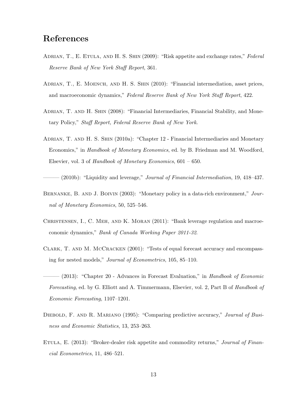## References

- ADRIAN, T., E. ETULA, AND H. S. SHIN (2009): "Risk appetite and exchange rates," Federal Reserve Bank of New York Staff Report, 361.
- ADRIAN, T., E. MOENCH, AND H. S. SHIN (2010): "Financial intermediation, asset prices, and macroeconomic dynamics," Federal Reserve Bank of New York Staff Report, 422.
- ADRIAN, T. AND H. SHIN (2008): "Financial Intermediaries, Financial Stability, and Monetary Policy," Staff Report, Federal Reserve Bank of New York.
- Adrian, T. and H. S. Shin (2010a): "Chapter 12 Financial Intermediaries and Monetary Economics," in Handbook of Monetary Economics, ed. by B. Friedman and M. Woodford, Elsevier, vol. 3 of Handbook of Monetary Economics,  $601 - 650$ .

 $-$  (2010b): "Liquidity and leverage," *Journal of Financial Intermediation*, 19, 418–437.

- BERNANKE, B. AND J. BOIVIN (2003): "Monetary policy in a data-rich environment," Journal of Monetary Economics, 50, 525–546.
- CHRISTENSEN, I., C. MEH, AND K. MORAN (2011): "Bank leverage regulation and macroeconomic dynamics," Bank of Canada Working Paper 2011-32.
- Clark, T. and M. McCracken (2001): "Tests of equal forecast accuracy and encompassing for nested models," Journal of Econometrics, 105, 85–110.
- $-$  (2013): "Chapter 20 Advances in Forecast Evaluation," in Handbook of Economic Forecasting, ed. by G. Elliott and A. Timmermann, Elsevier, vol. 2, Part B of Handbook of Economic Forecasting, 1107–1201.
- DIEBOLD, F. AND R. MARIANO (1995): "Comparing predictive accuracy," Journal of Business and Economic Statistics, 13, 253–263.
- ETULA, E. (2013): "Broker-dealer risk appetite and commodity returns," *Journal of Finan*cial Econometrics, 11, 486–521.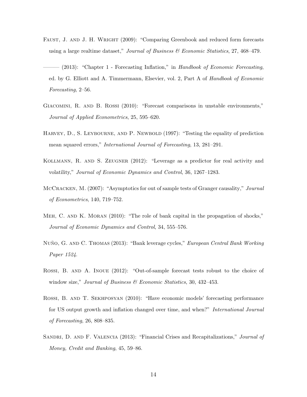- FAUST, J. AND J. H. WRIGHT (2009): "Comparing Greenbook and reduced form forecasts using a large realtime dataset," Journal of Business  $\mathcal{B}$  Economic Statistics, 27, 468–479.
- $(2013)$ : "Chapter 1 Forecasting Inflation," in Handbook of Economic Forecasting, ed. by G. Elliott and A. Timmermann, Elsevier, vol. 2, Part A of Handbook of Economic Forecasting, 2–56.
- Giacomini, R. and B. Rossi (2010): "Forecast comparisons in unstable environments," Journal of Applied Econometrics, 25, 595–620.
- HARVEY, D., S. LEYBOURNE, AND P. NEWBOLD (1997): "Testing the equality of prediction mean squared errors," International Journal of Forecasting, 13, 281–291.
- Kollmann, R. and S. Zeugner (2012): "Leverage as a predictor for real activity and volatility," Journal of Economic Dynamics and Control, 36, 1267–1283.
- MCCRACKEN, M. (2007): "Asymptotics for out of sample tests of Granger causality," Journal of Econometrics, 140, 719–752.
- MEH, C. AND K. MORAN (2010): "The role of bank capital in the propagation of shocks," Journal of Economic Dynamics and Control, 34, 555–576.
- NUÑO, G. AND C. THOMAS (2013): "Bank leverage cycles," European Central Bank Working Paper 1524.
- Rossi, B. and A. Inoue (2012): "Out-of-sample forecast tests robust to the choice of window size," Journal of Business & Economic Statistics, 30, 432-453.
- Rossi, B. and T. Sekhposyan (2010): "Have economic models' forecasting performance for US output growth and inflation changed over time, and when?" International Journal of Forecasting, 26, 808–835.
- SANDRI, D. AND F. VALENCIA (2013): "Financial Crises and Recapitalizations," *Journal of* Money, Credit and Banking, 45, 59–86.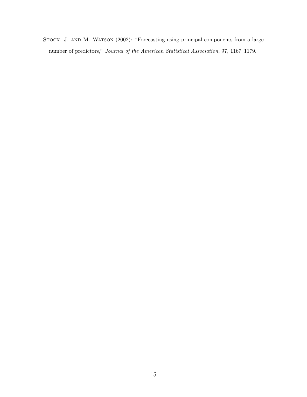STOCK, J. AND M. WATSON (2002): "Forecasting using principal components from a large number of predictors," Journal of the American Statistical Association, 97, 1167–1179.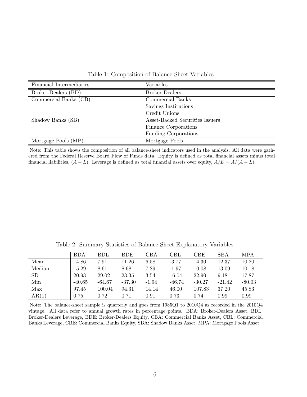| Financial Intermediaries | Variables                       |
|--------------------------|---------------------------------|
| Broker-Dealers (BD)      | <b>Broker-Dealers</b>           |
| Commercial Banks (CB)    | Commercial Banks                |
|                          | Savings Institutions            |
|                          | Credit Unions                   |
| Shadow Banks (SB)        | Asset-Backed Securities Issuers |
|                          | Finance Corporations            |
|                          | Funding Corporations            |
| Mortgage Pools (MP)      | Mortgage Pools                  |

Table 1: Composition of Balance-Sheet Variables

Note: This table shows the composition of all balance-sheet indicators used in the analysis. All data were gathered from the Federal Reserve Board Flow of Funds data. Equity is defined as total financial assets minus total financial liabilities,  $(A - L)$ . Leverage is defined as total financial assets over equity,  $A/E = A/(A - L)$ .

BDA BDL BDE CBA CBL CBE SBA MPA Mean | 14.86 7.91 11.26 6.58 -3.77 14.30 12.37 10.20 Median | 15.29 8.61 8.68 7.29 -1.97 10.08 13.09 10.18 SD 20.93 29.02 23.35 3.54 16.04 22.90 9.18 17.87 Min -40.65 -64.67 -37.30 -1.94 -46.74 -30.27 -21.42 -80.03 Max 97.45 100.04 94.31 14.14 46.00 107.83 37.20 45.83  $\text{AR}(1) \text{ } 0.75 \text{ } 0.72 \text{ } 0.71 \text{ } 0.91 \text{ } 0.73 \text{ } 0.74 \text{ } 0.99 \text{ } 0.99$ 

Table 2: Summary Statistics of Balance-Sheet Explanatory Variables

Note: The balance-sheet sample is quarterly and goes from 1985Q1 to 2010Q4 as recorded in the 2010Q4 vintage. All data refer to annual growth rates in percentage points. BDA: Broker-Dealers Asset, BDL: Broker-Dealers Leverage, BDE: Broker-Dealers Equity, CBA: Commercial Banks Asset, CBL: Commercial Banks Leverage, CBE: Commercial Banks Equity, SBA: Shadow Banks Asset, MPA: Mortgage Pools Asset.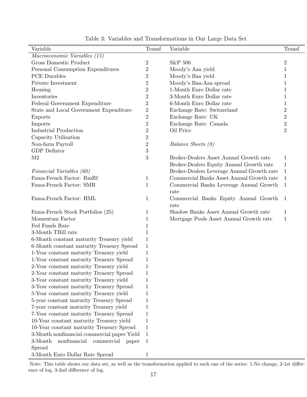| Variable                                       | Transf           | Variable                                   | Transf         |
|------------------------------------------------|------------------|--------------------------------------------|----------------|
| Macroeconomic Variables (15)                   |                  |                                            |                |
| <b>Gross Domestic Product</b>                  | $\overline{2}$   | S&P 500                                    | $\sqrt{2}$     |
| Personal Consumption Expenditures              | $\overline{2}$   | Moody's Aaa yield                          | $\mathbf{1}$   |
| <b>PCE</b> Durables                            | $\overline{2}$   | Moody's Baa yield                          | 1              |
| Private Investment                             | $\overline{2}$   | Moody's Baa-Aaa spread                     | 1              |
| Housing                                        | $\overline{2}$   | 1-Month Euro Dollar rate                   | 1              |
| Inventories                                    | $\overline{2}$   | 3-Month Euro Dollar rate                   | $\mathbf{1}$   |
| Federal Government Expenditure                 | $\overline{2}$   | 6-Month Euro Dollar rate                   | 1              |
| State and Local Government Expenditure         | $\boldsymbol{2}$ | Exchange Rate: Switzerland                 | $\overline{2}$ |
| Exports                                        | $\overline{2}$   | Exchange Rate: UK                          | $\sqrt{2}$     |
| Imports                                        | $\overline{2}$   | Exchange Rate: Canada                      | $\overline{2}$ |
| <b>Industrial Production</b>                   | $\overline{2}$   | Oil Price                                  | $\overline{2}$ |
| Capacity Utilization                           | $\overline{2}$   |                                            |                |
| Non-farm Payroll                               | $\boldsymbol{2}$ | Balance Sheets (8)                         |                |
| <b>GDP</b> Deflator                            | 3                |                                            |                |
| M <sub>2</sub>                                 | 3                | Broker-Dealers Asset Annual Growth rate    | 1              |
|                                                |                  | Broker-Dealers Equity Annual Growth rate   | $\mathbf{1}$   |
| Financial Variables (60)                       |                  | Broker-Dealers Leverage Annual Growth rate | $\mathbf{1}$   |
| Fama-French Factor: RmRf                       | $\mathbf 1$      | Commercial Banks Asset Annual Growth rate  | 1              |
| Fama-French Factor: SMB                        |                  |                                            |                |
|                                                | $\mathbf{1}$     | Commercial Banks Leverage Annual Growth    | $\mathbf{1}$   |
|                                                |                  | rate                                       |                |
| Fama-French Factor: HML                        | $\mathbf 1$      | Commercial Banks Equity Annual Growth      | $\mathbf{1}$   |
|                                                |                  | rate                                       |                |
| Fama-French Stock Portfolios (25)              | 1                | Shadow Banks Asset Annual Growth rate      | 1              |
| Momentum Factor                                | 1                | Mortgage Pools Asset Annual Growth rate    | 1              |
| Fed Funds Rate                                 | 1                |                                            |                |
| 3-Month TBill rate                             | 1                |                                            |                |
| 6-Month constant maturity Treasury yield       | $\mathbf 1$      |                                            |                |
| 6-Month constant maturity Treasury Spread      | 1                |                                            |                |
| 1-Year constant maturity Treasury yield        | $\mathbf 1$      |                                            |                |
| 1-Year constant maturity Treasury Spread       | $\mathbf 1$      |                                            |                |
| 2-Year constant maturity Treasury yield        | 1                |                                            |                |
| 2-Year constant maturity Treasury Spread       | 1                |                                            |                |
| 3-Year constant maturity Treasury yield        | 1                |                                            |                |
| 3-Year constant maturity Treasury Spread       | 1                |                                            |                |
| 5-Year constant maturity Treasury yield        | 1                |                                            |                |
| 5-year constant maturity Treasury Spread       | 1                |                                            |                |
| 7-year constant maturity Treasury yield        | 1                |                                            |                |
| 7-Year constant maturity Treasury Spread       | 1                |                                            |                |
| 10-Year constant maturity Treasury yield       | 1                |                                            |                |
| 10-Year constant maturity Treasury Spread      | 1                |                                            |                |
| 3-Month nonfinancial commercial paper Yield    | $\mathbf{1}$     |                                            |                |
| 3-Month<br>nonfinancial<br>commercial<br>paper | $\mathbf{1}$     |                                            |                |
| Spread                                         |                  |                                            |                |
| 3-Month Euro Dollar Rate Spread                | $\mathbf 1$      |                                            |                |

Table 3: Variables and Transformations in Our Large Data Set

Note: This table shows our data set, as well as the transformation applied to each one of the series: 1-No change, 2-1st difference of log, 3-2nd difference of log.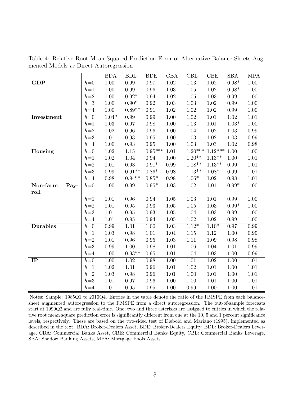|                  |       | <b>BDA</b> | <b>BDL</b>    | <b>BDE</b>    | CBA      | CBL       | CBE       | <b>SBA</b> | <b>MPA</b> |
|------------------|-------|------------|---------------|---------------|----------|-----------|-----------|------------|------------|
| <b>GDP</b>       | $h=0$ | 1.00       | 0.99          | 0.97          | 1.02     | 1.03      | 1.02      | $0.98*$    | 1.00       |
|                  | $h=1$ | $1.00\,$   | 0.99          | 0.96          | $1.03\,$ | 1.05      | 1.02      | $0.98*$    | 1.00       |
|                  | $h=2$ | $1.00\,$   | $0.92^{\ast}$ | 0.94          | $1.02\,$ | 1.05      | $1.03\,$  | 0.99       | 1.00       |
|                  | $h=3$ | $1.00\,$   | $0.90*$       | 0.92          | $1.03\,$ | 1.03      | $1.02\,$  | 0.99       | $1.00\,$   |
|                  | $h=4$ | $1.00\,$   | $0.89**$      | $\rm 0.91$    | $1.02\,$ | 1.02      | $1.02\,$  | 0.99       | $1.00\,$   |
| Investment       | $h=0$ | $1.04*$    | 0.99          | 0.99          | 1.00     | 1.02      | 1.01      | 1.02       | 1.01       |
|                  | $h=1$ | $1.03\,$   | $0.97\,$      | $0.98\,$      | $1.00\,$ | 1.03      | 1.01      | $1.03*$    | 1.00       |
|                  | $h=2$ | 1.02       | 0.96          | 0.96          | $1.00\,$ | 1.04      | 1.02      | $1.03\,$   | 0.99       |
|                  | $h=3$ | $1.01\,$   | $\rm 0.93$    | 0.95          | $1.00\,$ | 1.03      | $1.02\,$  | 1.03       | 0.99       |
|                  | $h=4$ | 1.00       | 0.93          | $0.95\,$      | $1.00\,$ | 1.03      | $1.03\,$  | 1.02       | $0.98\,$   |
| Housing          | $h=0$ | $1.02\,$   | $1.15\,$      | $0.95***$     | $1.01\,$ | $1.20***$ | $1.12***$ | 1.00       | $1.00\,$   |
|                  | $h=1$ | $1.02\,$   | 1.04          | 0.94          | $1.00\,$ | $1.20**$  | $1.13**$  | 1.00       | 1.01       |
|                  | $h=2$ | $1.01\,$   | 0.93          | $0.91^{\ast}$ | 0.99     | $1.18**$  | $1.13**$  | 0.99       | 1.01       |
|                  | $h=3$ | 0.99       | $0.91**$      | $0.86*$       | 0.98     | $1.13**$  | $1.08*$   | 0.99       | $1.01\,$   |
|                  | $h=4$ | 0.98       | $0.94**$      | $0.85*$       | 0.98     | $1.06*$   | $1.02\,$  | 0.98       | 1.01       |
| Non-farm<br>Pay- | $h=0$ | $1.00\,$   | 0.99          | $0.95*$       | 1.03     | $1.02\,$  | 1.01      | $0.99*$    | 1.00       |
| roll             |       |            |               |               |          |           |           |            |            |
|                  | $h=1$ | 1.01       | $0.96\,$      | 0.94          | $1.05\,$ | 1.03      | 1.01      | 0.99       | 1.00       |
|                  | $h=2$ | 1.01       | $0.95\,$      | 0.93          | 1.05     | 1.05      | $1.03\,$  | $0.99*$    | 1.00       |
|                  | $h=3$ | 1.01       | $0.95\,$      | $\rm 0.93$    | $1.05\,$ | 1.04      | $1.03\,$  | 0.99       | 1.00       |
|                  | $h=4$ | 1.01       | 0.95          | 0.94          | 1.05     | 1.02      | 1.02      | 0.99       | 1.00       |
| <b>Durables</b>  | $h=0$ | 0.99       | 1.01          | 1.00          | $1.03\,$ | $1.12*$   | $1.10*$   | 0.97       | 0.99       |
|                  | $h=1$ | 1.03       | 0.98          | 1.01          | 1.04     | 1.15      | 1.12      | 1.00       | 0.99       |
|                  | $h=2$ | $1.01\,$   | $0.96\,$      | $0.95\,$      | $1.03\,$ | 1.11      | $1.09\,$  | 0.98       | 0.98       |
|                  | $h=3$ | 0.99       | 1.00          | 0.98          | 1.01     | 1.06      | 1.04      | 1.01       | 0.99       |
|                  | $h=4$ | $1.00\,$   | $0.93**$      | 0.95          | 1.01     | 1.04      | $1.03\,$  | 1.00       | 0.99       |
| IP               | $h=0$ | $1.00\,$   | $1.02\,$      | $0.98\,$      | $1.00\,$ | 1.01      | $1.02\,$  | 1.00       | $1.01\,$   |
|                  | $h=1$ | $1.02\,$   | 1.01          | 0.96          | 1.01     | 1.02      | 1.01      | 1.00       | 1.01       |
|                  | $h=2$ | 1.03       | 0.98          | 0.96          | 1.01     | 1.00      | 1.01      | 1.00       | 1.01       |
|                  | $h=3$ | $1.01\,$   | $0.97\,$      | 0.96          | $1.00\,$ | 1.00      | 1.01      | $1.00\,$   | $1.01\,$   |
|                  | $h=4$ | 1.01       | $0.95\,$      | 0.95          | 1.00     | 0.99      | 1.00      | 1.00       | 1.01       |

Table 4: Relative Root Mean Squared Prediction Error of Alternative Balance-Sheets Augmented Models vs Direct Autoregression

Notes: Sample: 1985Q1 to 2010Q4. Entries in the table denote the ratio of the RMSPE from each balancesheet augmented autoregression to the RMSPE from a direct autoregression. The out-of-sample forecasts start at 1999Q2 and are fully real-time. One, two and three asterisks are assigned to entries in which the relative root mean square prediction error is significantly different from one at the 10, 5 and 1 percent significance levels, respectively. These are based on the two-sided test of Diebold and Mariano (1995), implemented as described in the text. BDA: Broker-Dealers Asset, BDE: Broker-Dealers Equity, BDL: Broker-Dealers Leverage, CBA: Commercial Banks Asset, CBE: Commercial Banks Equity, CBL: Commercial Banks Leverage, SBA: Shadow Banking Assets, MPA: Mortgage Pools Assets.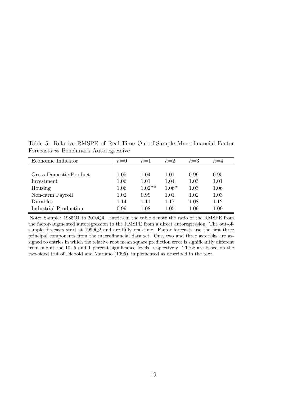Table 5: Relative RMSPE of Real-Time Out-of-Sample Macrofinancial Factor Forecasts vs Benchmark Autoregressive

| Economic Indicator     | $h=0$ | $h=1$    | $h=2$   | $h=3$    | $h = 4$ |
|------------------------|-------|----------|---------|----------|---------|
|                        |       |          |         |          |         |
| Gross Domestic Product | 1.05  | 1.04     | 1.01    | 0.99     | 0.95    |
| Investment             | 1.06  | 1.01     | 1.04    | 1.03     | 1.01    |
| Housing                | 1.06  | $1.02**$ | $1.06*$ | 1.03     | 1.06    |
| Non-farm Payroll       | 1.02  | 0.99     | 1.01    | 1.02     | 1.03    |
| Durables               | 1.14  | 1.11     | 1.17    | 1.08     | 1.12    |
| Industrial Production  | 0.99  | 1.08     | 1.05    | $1.09\,$ | 1.09    |

Note: Sample: 1985Q1 to 2010Q4. Entries in the table denote the ratio of the RMSPE from the factor-augmented autoregression to the RMSPE from a direct autoregression. The out-ofsample forecasts start at 1999Q2 and are fully real-time. Factor forecasts use the first three principal components from the macrofinancial data set. One, two and three asterisks are assigned to entries in which the relative root mean square prediction error is significantly different from one at the 10, 5 and 1 percent significance levels, respectively. These are based on the two-sided test of Diebold and Mariano (1995), implemented as described in the text.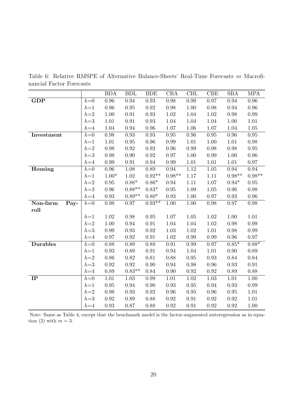Table 6: Relative RMSPE of Alternative Balance-Sheets' Real-Time Forecasts vs Macrofinancial Factor Forecasts

|                  |       | <b>BDA</b> | <b>BDL</b> | <b>BDE</b> | CBA        | CBL        | CBE        | <b>SBA</b> | <b>MPA</b> |
|------------------|-------|------------|------------|------------|------------|------------|------------|------------|------------|
| GDP              | $h=0$ | 0.96       | 0.94       | 0.93       | 0.98       | 0.99       | 0.97       | 0.94       | 0.96       |
|                  | $h=1$ | $0.96\,$   | $\rm 0.95$ | $\rm 0.92$ | 0.98       | 1.00       | 0.98       | $\rm 0.94$ | $0.96\,$   |
|                  | $h=2$ | 1.00       | 0.91       | 0.93       | 1.02       | 1.04       | $1.02\,$   | 0.98       | 0.99       |
|                  | $h=3$ | 1.01       | $\rm 0.91$ | 0.93       | 1.04       | 1.04       | 1.04       | $1.00\,$   | 1.01       |
|                  | $h=4$ | 1.04       | 0.94       | 0.96       | $1.07\,$   | 1.06       | $1.07\,$   | 1.04       | $1.05\,$   |
| Investment       | $h=0$ | 0.98       | 0.93       | 0.93       | $0.95\,$   | 0.96       | $0.95\,$   | 0.96       | $\rm 0.95$ |
|                  | $h=1$ | $1.01\,$   | $0.95\,$   | 0.96       | $0.99\,$   | $1.01\,$   | $1.00\,$   | 1.01       | 0.98       |
|                  | $h=2$ | $0.98\,$   | $\rm 0.92$ | $\rm 0.92$ | $0.96\,$   | $0.99\,$   | 0.98       | 0.98       | $0.95\,$   |
|                  | $h=3$ | 0.98       | 0.90       | 0.92       | 0.97       | 1.00       | $0.99\,$   | 1.00       | $0.96\,$   |
|                  | $h=4$ | 0.99       | $0.91\,$   | 0.94       | 0.99       | 1.01       | 1.01       | 1.01       | 0.97       |
| Housing          | $h=0$ | 0.96       | 1.08       | 0.89       | 0.94       | 1.12       | $1.05\,$   | 0.94       | 0.94       |
|                  | $h=1$ | $1.00*$    | 1.02       | $0.92**$   | $0.98**$   | 1.17       | 1.11       | $0.98**$   | $0.98**$   |
|                  | $h=2$ | $0.95\,$   | $0.88*$    | $0.86*$    | 0.94       | 1.11       | 1.07       | $0.94*$    | $0.95\,$   |
|                  | $h=3$ | $\rm 0.96$ | $0.88**$   | $0.83*$    | $\rm 0.95$ | 1.09       | $1.05\,$   | $0.96\,$   | 0.98       |
|                  | $h=4$ | $\rm 0.93$ | $0.89**$   | $0.80*$    | $\rm 0.93$ | 1.00       | $0.97\,$   | $\rm 0.93$ | $0.96\,$   |
| Non-farm<br>Pay- | $h=0$ | 0.98       | 0.97       | $0.93**$   | $1.00\,$   | 1.00       | 0.98       | 0.97       | $0.98\,$   |
| roll             |       |            |            |            |            |            |            |            |            |
|                  | $h=1$ | 1.02       | 0.98       | $0.95\,$   | 1.07       | 1.05       | 1.02       | 1.00       | 1.01       |
|                  | $h=2$ | $1.00\,$   | 0.94       | $0.91\,$   | 1.04       | 1.04       | $1.02\,$   | 0.98       | 0.99       |
|                  | $h=3$ | 0.99       | $\rm 0.93$ | $\rm 0.92$ | $1.03\,$   | 1.02       | 1.01       | 0.98       | 0.99       |
|                  | $h=4$ | 0.97       | 0.92       | 0.91       | $1.02\,$   | 0.99       | 0.99       | 0.96       | 0.97       |
| <b>Durables</b>  | $h=0$ | 0.88       | 0.89       | 0.88       | $0.91\,$   | 0.99       | 0.97       | $0.85*$    | $0.88*$    |
|                  | $h=1$ | $\rm 0.93$ | 0.89       | $\rm 0.91$ | $\rm 0.94$ | 1.04       | $1.01\,$   | $0.90\,$   | $0.89\,$   |
|                  | $h=2$ | 0.86       | 0.82       | $0.81\,$   | 0.88       | $0.95\,$   | $\rm 0.93$ | 0.84       | 0.84       |
|                  | $h=3$ | $\rm 0.92$ | 0.92       | $0.90\,$   | $\rm 0.94$ | $0.98\,$   | $0.96\,$   | $\rm 0.93$ | $0.91\,$   |
|                  | $h=4$ | 0.89       | $0.83**$   | 0.84       | 0.90       | 0.92       | 0.92       | 0.89       | 0.88       |
| IP               | $h=0$ | 1.01       | 1.03       | 0.99       | 1.01       | 1.02       | 1.03       | 1.01       | 1.00       |
|                  | $h=1$ | $0.95\,$   | 0.94       | $0.90\,$   | 0.93       | $\rm 0.95$ | 0.94       | 0.93       | 0.99       |
|                  | $h=2$ | 0.98       | 0.93       | 0.92       | 0.96       | $\rm 0.95$ | 0.96       | $0.95\,$   | 1.01       |
|                  | $h=3$ | $\rm 0.92$ | 0.89       | 0.88       | $\rm 0.92$ | $0.91\,$   | $\rm 0.92$ | $\rm 0.92$ | $1.01\,$   |
|                  | $h=4$ | $\rm 0.93$ | 0.87       | 0.88       | $\rm 0.92$ | $0.91\,$   | $\rm 0.92$ | 0.92       | 1.00       |

Note: Same as Table 4, except that the benchmark model is the factor-augmented autoregression as in equation (2) with  $m = 3$ .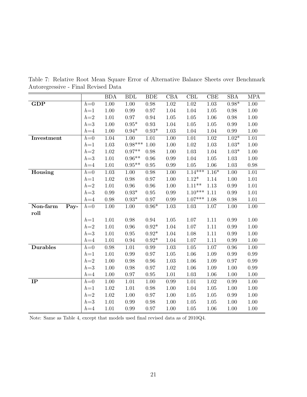|                  |       | <b>BDA</b>        | <b>BDL</b>        | <b>BDE</b> | CBA      | CBL           | CBE               | <b>SBA</b> | <b>MPA</b> |
|------------------|-------|-------------------|-------------------|------------|----------|---------------|-------------------|------------|------------|
| GDP              | $h=0$ | $\overline{1.00}$ | $\overline{1.00}$ | $0.98\,$   | $1.02\,$ | $1.02\,$      | $1.\overline{03}$ | $0.98*$    | 1.00       |
|                  | $h=1$ | 1.00              | 0.99              | 0.97       | 1.04     | 1.04          | 1.05              | 0.98       | $1.00\,$   |
|                  | $h=2$ | 1.01              | 0.97              | 0.94       | $1.05\,$ | 1.05          | 1.06              | 0.98       | 1.00       |
|                  | $h=3$ | $1.00\,$          | $0.95*$           | 0.93       | 1.04     | $1.05\,$      | 1.05              | 0.99       | $1.00\,$   |
|                  | $h=4$ | 1.00              | $0.94*$           | $0.93*$    | 1.03     | 1.04          | 1.04              | 0.99       | 1.00       |
| Investment       | $h=0$ | 1.04              | $1.00\,$          | $1.01\,$   | $1.00\,$ | $1.01\,$      | $1.02\,$          | $1.02*$    | 1.01       |
|                  | $h=1$ | $1.03\,$          | $0.98***$         | 1.00       | $1.00\,$ | $1.02\,$      | $1.03\,$          | $1.03*$    | 1.00       |
|                  | $h=2$ | $1.02\,$          | $0.97**$          | 0.98       | $1.00\,$ | $1.03\,$      | 1.04              | $1.03*$    | 1.00       |
|                  | $h=3$ | 1.01              | $0.96**$          | 0.96       | 0.99     | 1.04          | 1.05              | 1.03       | 1.00       |
|                  | $h=4$ | 1.01              | $0.95**$          | $0.95\,$   | 0.99     | 1.05          | 1.06              | 1.03       | 0.98       |
| Housing          | $h=0$ | 1.03              | 1.00              | 0.98       | 1.00     | $1.14***$     | $1.16*$           | 1.00       | 1.01       |
|                  | $h=1$ | $1.02\,$          | $0.98\,$          | 0.97       | $1.00\,$ | $1.12^{\ast}$ | 1.14              | 1.00       | $1.01\,$   |
|                  | $h=2$ | $1.01\,$          | 0.96              | 0.96       | $1.00\,$ | $1.11**$      | 1.13              | 0.99       | $1.01\,$   |
|                  | $h=3$ | 0.99              | $0.93*$           | $0.95\,$   | $0.99\,$ | $1.10***$     | 1.11              | 0.99       | 1.01       |
|                  | $h=4$ | 0.98              | $0.93*$           | 0.97       | 0.99     | $1.07***$     | 1.08              | 0.98       | 1.01       |
| Non-farm<br>Pay- | $h=0$ | 1.00              | 1.00              | $0.96*$    | 1.03     | 1.03          | 1.07              | 1.00       | 1.00       |
| roll             |       |                   |                   |            |          |               |                   |            |            |
|                  | $h=1$ | 1.01              | 0.98              | 0.94       | $1.05\,$ | 1.07          | 1.11              | 0.99       | 1.00       |
|                  | $h=2$ | 1.01              | 0.96              | $0.92*$    | 1.04     | $1.07\,$      | $1.11\,$          | 0.99       | 1.00       |
|                  | $h=3$ | 1.01              | $0.95\,$          | $0.92*$    | 1.04     | 1.08          | 1.11              | 0.99       | 1.00       |
|                  | $h=4$ | 1.01              | 0.94              | $0.92*$    | 1.04     | 1.07          | 1.11              | 0.99       | 1.00       |
| <b>Durables</b>  | $h=0$ | 0.98              | 1.01              | 0.99       | 1.03     | 1.05          | 1.07              | 0.96       | 1.00       |
|                  | $h=1$ | 1.01              | 0.99              | 0.97       | $1.05\,$ | 1.06          | 1.09              | 0.99       | 0.99       |
|                  | $h=2$ | $1.00\,$          | 0.98              | 0.96       | $1.03\,$ | $1.06\,$      | $1.09\,$          | 0.97       | 0.99       |
|                  | $h=3$ | $1.00\,$          | 0.98              | 0.97       | $1.02\,$ | 1.06          | 1.09              | 1.00       | 0.99       |
|                  | $h=4$ | $1.00\,$          | 0.97              | 0.95       | $1.01\,$ | $1.03\,$      | 1.06              | 1.00       | 1.00       |
| IP               | $h=0$ | 1.00              | 1.01              | 1.00       | 0.99     | 1.01          | 1.02              | 0.99       | 1.00       |
|                  | $h=1$ | 1.02              | 1.01              | 0.98       | 1.00     | 1.04          | 1.05              | 1.00       | 1.00       |
|                  | $h=2$ | 1.02              | 1.00              | 0.97       | $1.00\,$ | $1.05\,$      | $1.05\,$          | 0.99       | $1.00\,$   |
|                  | $h=3$ | 1.01              | $0.99\,$          | 0.98       | $1.00\,$ | $1.05\,$      | $1.05\,$          | $1.00\,$   | $1.00\,$   |
|                  | $h=4$ | 1.01              | 0.99              | 0.97       | $1.00\,$ | $1.05\,$      | 1.06              | 1.00       | 1.00       |

Table 7: Relative Root Mean Square Error of Alternative Balance Sheets over Benchmark Autoregressive - Final Revised Data

Note: Same as Table 4, except that models used final revised data as of 2010Q4.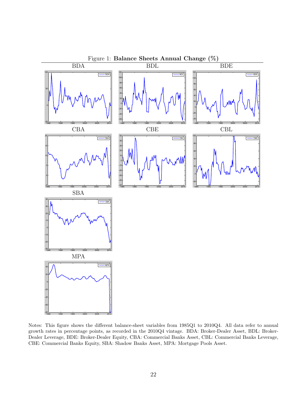

Notes: This figure shows the different balance-sheet variables from 1985Q1 to 2010Q4. All data refer to annual growth rates in percentage points, as recorded in the 2010Q4 vintage. BDA: Broker-Dealer Asset, BDL: Broker-Dealer Leverage, BDE: Broker-Dealer Equity, CBA: Commercial Banks Asset, CBL: Commercial Banks Leverage, CBE: Commercial Banks Equity, SBA: Shadow Banks Asset, MPA: Mortgage Pools Asset.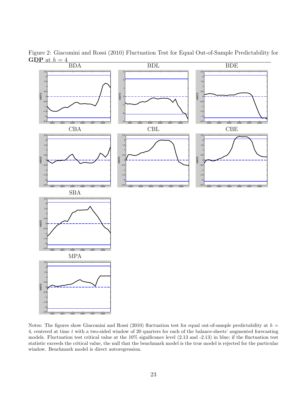

Figure 2: Giacomini and Rossi (2010) Fluctuation Test for Equal Out-of-Sample Predictability for GDP at  $h = 4$ 

Notes: The figures show Giacomini and Rossi (2010) fluctuation test for equal out-of-sample predictability at  $h =$ 4, centered at time t with a two-sided window of 20 quarters for each of the balance-sheets' augmented forecasting models. Fluctuation test critical value at the 10% significance level (2.13 and -2.13) in blue; if the fluctuation test statistic exceeds the critical value, the null that the benchmark model is the true model is rejected for the particular window. Benchmark model is direct autoregression.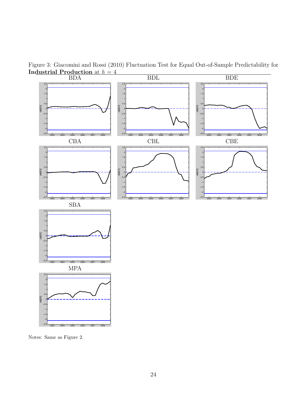

Figure 3: Giacomini and Rossi (2010) Fluctuation Test for Equal Out-of-Sample Predictability for Industrial Production at  $h = 4$ 

Notes: Same as Figure 2.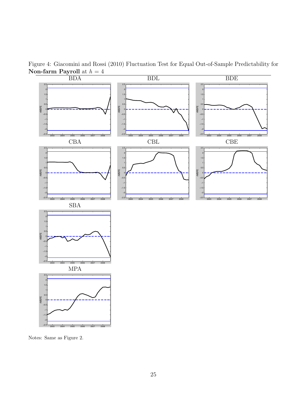

Figure 4: Giacomini and Rossi (2010) Fluctuation Test for Equal Out-of-Sample Predictability for

Notes: Same as Figure 2.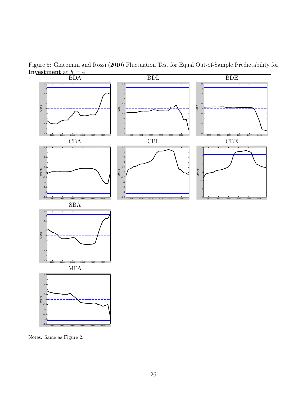

Figure 5: Giacomini and Rossi (2010) Fluctuation Test for Equal Out-of-Sample Predictability for Investment at  $h = 4$ 

Notes: Same as Figure 2.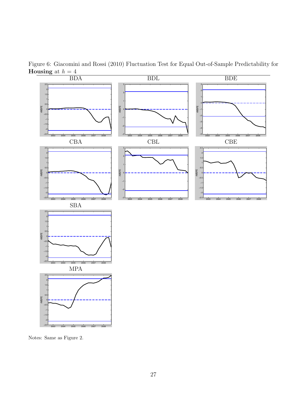

Figure 6: Giacomini and Rossi (2010) Fluctuation Test for Equal Out-of-Sample Predictability for **Housing** at  $h = 4$ <br>**BDA** 

Notes: Same as Figure 2.